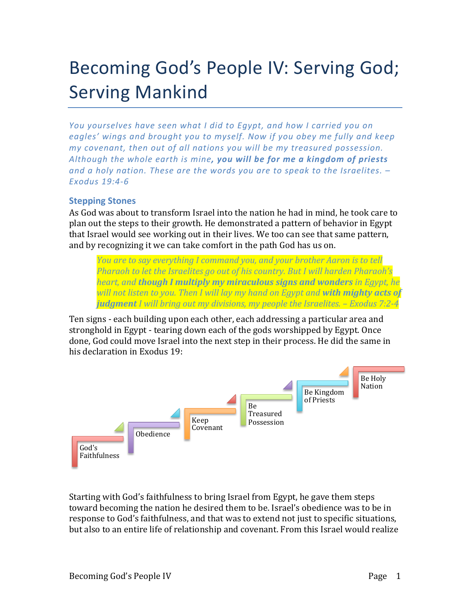# Becoming God's People IV: Serving God; **Serving Mankind**

*You* yourselves have seen what I did to Egypt, and how I carried you on eagles' wings and brought you to myself. Now if you obey me fully and keep *my* covenant, then out of all nations you will be my treasured possession. *Although the whole earth is mine, you will be for me a kingdom of priests* and a holy nation. These are the words you are to speak to the Israelites.  $-$ *Exodus 19:4-6*

## **Stepping Stones**

As God was about to transform Israel into the nation he had in mind, he took care to plan out the steps to their growth. He demonstrated a pattern of behavior in Egypt that Israel would see working out in their lives. We too can see that same pattern, and by recognizing it we can take comfort in the path God has us on.

*You are to say everything I command you, and your brother Aaron is to tell Pharaoh to let the Israelites go out of his country. But I will harden Pharaoh's heart, and though I multiply my miraculous signs and wonders in Egypt, he* will not listen to you. Then I will lay my hand on Egypt and **with mighty acts of** *judgment I* will bring out my divisions, my people the Israelites. – Exodus 7:2-4

Ten signs - each building upon each other, each addressing a particular area and stronghold in Egypt - tearing down each of the gods worshipped by Egypt. Once done, God could move Israel into the next step in their process. He did the same in his declaration in Exodus 19:



Starting with God's faithfulness to bring Israel from Egypt, he gave them steps toward becoming the nation he desired them to be. Israel's obedience was to be in response to God's faithfulness, and that was to extend not just to specific situations, but also to an entire life of relationship and covenant. From this Israel would realize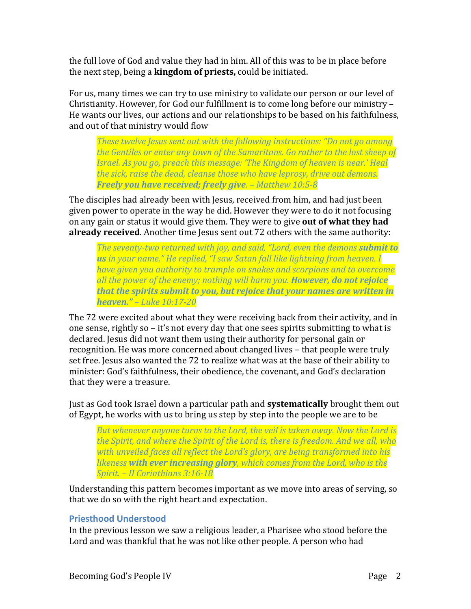the full love of God and value they had in him. All of this was to be in place before the next step, being a **kingdom of priests**, could be initiated.

For us, many times we can try to use ministry to validate our person or our level of Christianity. However, for God our fulfillment is to come long before our ministry -He wants our lives, our actions and our relationships to be based on his faithfulness, and out of that ministry would flow

*These twelve Jesus sent out with the following instructions: "Do not go among the Gentiles or enter any town of the Samaritans. Go rather to the lost sheep of Israel. As you go, preach this message: 'The Kingdom of heaven is near.' Heal the sick, raise the dead, cleanse those who have leprosy, drive out demons. Freely you have received; freely give. – Matthew 10:5-8*

The disciples had already been with Jesus, received from him, and had just been given power to operate in the way he did. However they were to do it not focusing on any gain or status it would give them. They were to give **out of what they had already received**. Another time Jesus sent out 72 others with the same authority:

*The seventy-two returned with joy, and said, "Lord, even the demons submit to* **us** in your name." He replied, "I saw Satan fall like lightning from heaven. I *have given you authority to trample on snakes and scorpions and to overcome all the power of the enemy; nothing will harm you. However, do not rejoice that the spirits submit to you, but rejoice that your names are written in heaven." – Luke 10:17-20*

The 72 were excited about what they were receiving back from their activity, and in one sense, rightly so  $-$  it's not every day that one sees spirits submitting to what is declared. Jesus did not want them using their authority for personal gain or recognition. He was more concerned about changed lives – that people were truly set free. Jesus also wanted the 72 to realize what was at the base of their ability to minister: God's faithfulness, their obedience, the covenant, and God's declaration that they were a treasure.

Just as God took Israel down a particular path and **systematically** brought them out of Egypt, he works with us to bring us step by step into the people we are to be

But whenever anyone turns to the Lord, the veil is taken away. Now the Lord is *the Spirit, and where the Spirit of the Lord is, there is freedom. And we all, who* with unveiled faces all reflect the Lord's glory, are being transformed into his *likeness* with ever increasing glory, which comes from the Lord, who is the *Spirit. – II Corinthians 3:16-18*

Understanding this pattern becomes important as we move into areas of serving, so that we do so with the right heart and expectation.

## **Priesthood Understood**

In the previous lesson we saw a religious leader, a Pharisee who stood before the Lord and was thankful that he was not like other people. A person who had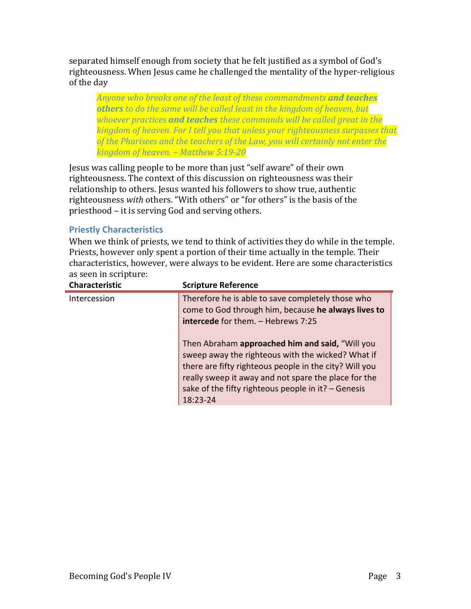separated himself enough from society that he felt justified as a symbol of God's righteousness. When Jesus came he challenged the mentality of the hyper-religious of the day

Anyone who breaks one of the least of these commandments **and teaches others** to do the same will be called least in the kingdom of heaven, but *whoever practices* **and teaches** these commands will be called great in the *kingdom* of heaven. For I tell you that unless your righteousness surpasses that of the Pharisees and the teachers of the Law, you will certainly not enter the *kingdom of heaven. – Matthew 5:19-20*

Jesus was calling people to be more than just "self aware" of their own righteousness. The context of this discussion on righteousness was their relationship to others. Jesus wanted his followers to show true, authentic righteousness with others. "With others" or "for others" is the basis of the priesthood – it is serving God and serving others.

## **Priestly Characteristics**

When we think of priests, we tend to think of activities they do while in the temple. Priests, however only spent a portion of their time actually in the temple. Their characteristics, however, were always to be evident. Here are some characteristics as seen in scripture:

| <b>Scripture Reference</b>                             |
|--------------------------------------------------------|
| Therefore he is able to save completely those who      |
| come to God through him, because he always lives to    |
| <b>intercede</b> for them. - Hebrews 7:25              |
|                                                        |
| Then Abraham approached him and said, "Will you        |
| sweep away the righteous with the wicked? What if      |
| there are fifty righteous people in the city? Will you |
| really sweep it away and not spare the place for the   |
| sake of the fifty righteous people in it? - Genesis    |
| 18:23-24                                               |
|                                                        |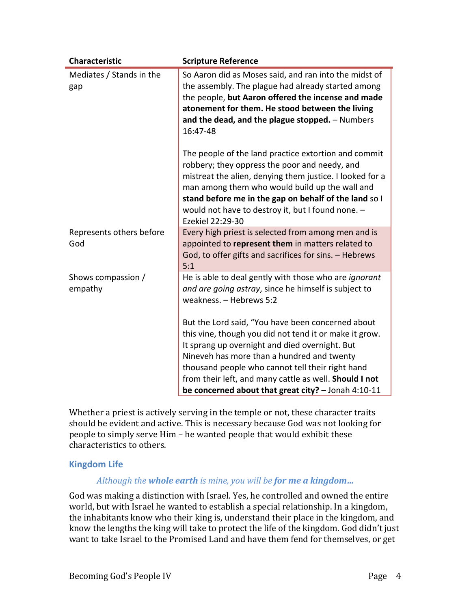| <b>Characteristic</b>           | <b>Scripture Reference</b>                                                                                                                                                                                                                                                                                                                                                         |
|---------------------------------|------------------------------------------------------------------------------------------------------------------------------------------------------------------------------------------------------------------------------------------------------------------------------------------------------------------------------------------------------------------------------------|
| Mediates / Stands in the<br>gap | So Aaron did as Moses said, and ran into the midst of<br>the assembly. The plague had already started among<br>the people, but Aaron offered the incense and made<br>atonement for them. He stood between the living<br>and the dead, and the plague stopped. - Numbers<br>16:47-48                                                                                                |
|                                 | The people of the land practice extortion and commit<br>robbery; they oppress the poor and needy, and<br>mistreat the alien, denying them justice. I looked for a<br>man among them who would build up the wall and<br>stand before me in the gap on behalf of the land so I<br>would not have to destroy it, but I found none. -<br>Ezekiel 22:29-30                              |
| Represents others before<br>God | Every high priest is selected from among men and is<br>appointed to represent them in matters related to<br>God, to offer gifts and sacrifices for sins. - Hebrews<br>5:1                                                                                                                                                                                                          |
| Shows compassion /<br>empathy   | He is able to deal gently with those who are <i>ignorant</i><br>and are going astray, since he himself is subject to<br>weakness. - Hebrews 5:2                                                                                                                                                                                                                                    |
|                                 | But the Lord said, "You have been concerned about<br>this vine, though you did not tend it or make it grow.<br>It sprang up overnight and died overnight. But<br>Nineveh has more than a hundred and twenty<br>thousand people who cannot tell their right hand<br>from their left, and many cattle as well. Should I not<br>be concerned about that great city? $-$ Jonah 4:10-11 |

Whether a priest is actively serving in the temple or not, these character traits should be evident and active. This is necessary because God was not looking for people to simply serve Him – he wanted people that would exhibit these characteristics to others.

#### **Kingdom Life**

#### *Although the whole earth is mine, you will be for me a kingdom...*

God was making a distinction with Israel. Yes, he controlled and owned the entire world, but with Israel he wanted to establish a special relationship. In a kingdom, the inhabitants know who their king is, understand their place in the kingdom, and know the lengths the king will take to protect the life of the kingdom. God didn't just want to take Israel to the Promised Land and have them fend for themselves, or get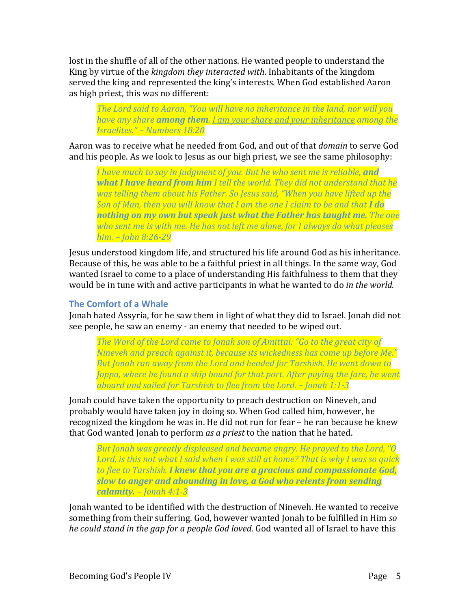lost in the shuffle of all of the other nations. He wanted people to understand the King by virtue of the *kingdom they interacted with*. Inhabitants of the kingdom served the king and represented the king's interests. When God established Aaron as high priest, this was no different:

The Lord said to Aaron, "You will have no inheritance in the land, nor will you *have any share among them. I am your share and your inheritance among the Israelites." – Numbers 18:20*

Aaron was to receive what he needed from God, and out of that *domain* to serve God and his people. As we look to Jesus as our high priest, we see the same philosophy:

*I* have much to say in judgment of you. But he who sent me is reliable, **and what I have heard from him** I tell the world. They did not understand that he *was telling them about his Father. So Jesus said, "When you have lifted up the Son of Man, then you will know that I am the one I claim to be and that I do nothing on my own but speak just what the Father has taught me. The one* who sent me is with me. He has not left me alone, for I always do what pleases *him. – John 8:26-29*

Jesus understood kingdom life, and structured his life around God as his inheritance. Because of this, he was able to be a faithful priest in all things. In the same way, God wanted Israel to come to a place of understanding His faithfulness to them that they would be in tune with and active participants in what he wanted to do *in the world.* 

# **The Comfort of a Whale**

Jonah hated Assyria, for he saw them in light of what they did to Israel. Jonah did not see people, he saw an enemy - an enemy that needed to be wiped out.

The Word of the Lord came to Jonah son of Amittai: "Go to the great city of *Nineveh and preach against it, because its wickedness has come up before Me." But Jonah ran away from the Lord and headed for Tarshish. He went down to Joppa, where he found a ship bound for that port. After paying the fare, he went aboard and sailed for Tarshish to flee from the Lord. – Jonah 1:1-3*

Jonah could have taken the opportunity to preach destruction on Nineveh, and probably would have taken joy in doing so. When God called him, however, he recognized the kingdom he was in. He did not run for fear – he ran because he knew that God wanted Jonah to perform *as a priest* to the nation that he hated.

*But Jonah was greatly displeased and became angry. He prayed to the Lord, "O* Lord, is this not what I said when I was still at home? That is why I was so quick *to flee to Tarshish. I knew that you are a gracious and compassionate God, slow to anger and abounding in love, a God who relents from sending calamity. – Jonah 4:1-3*

Jonah wanted to be identified with the destruction of Nineveh. He wanted to receive something from their suffering. God, however wanted Jonah to be fulfilled in Him so *he could stand in the gap for a people God loved*. God wanted all of Israel to have this